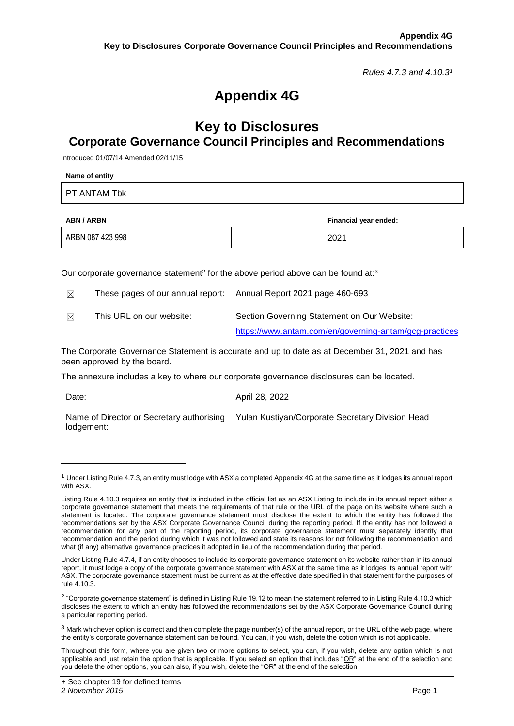*Rules 4.7.3 and 4.10.3<sup>1</sup>*

## **Appendix 4G**

## **Key to Disclosures Corporate Governance Council Principles and Recommendations**

Introduced 01/07/14 Amended 02/11/15

| Name of entity                                                                                           |                                                                                                       |  |  |  |  |  |
|----------------------------------------------------------------------------------------------------------|-------------------------------------------------------------------------------------------------------|--|--|--|--|--|
| PT ANTAM Tbk                                                                                             |                                                                                                       |  |  |  |  |  |
| <b>ABN / ARBN</b>                                                                                        | Financial year ended:                                                                                 |  |  |  |  |  |
| ARBN 087 423 998                                                                                         | 2021                                                                                                  |  |  |  |  |  |
| Our corporate governance statement <sup>2</sup> for the above period above can be found at: <sup>3</sup> |                                                                                                       |  |  |  |  |  |
| These pages of our annual report:<br>⊠<br>This URL on our website:                                       | Annual Report 2021 page 460-693                                                                       |  |  |  |  |  |
| ⊠                                                                                                        | Section Governing Statement on Our Website:<br>https://www.antam.com/en/governing-antam/gcg-practices |  |  |  |  |  |
| been approved by the board.                                                                              | The Corporate Governance Statement is accurate and up to date as at December 31, 2021 and has         |  |  |  |  |  |
| The annexure includes a key to where our corporate governance disclosures can be located.                |                                                                                                       |  |  |  |  |  |
| Date:                                                                                                    | April 28, 2022                                                                                        |  |  |  |  |  |
| Name of Director or Secretary authorising<br>lodgement:                                                  | Yulan Kustiyan/Corporate Secretary Division Head                                                      |  |  |  |  |  |

-

 $1$  Under Listing Rule 4.7.3, an entity must lodge with ASX a completed Appendix 4G at the same time as it lodges its annual report with ASX.

Listing Rule 4.10.3 requires an entity that is included in the official list as an ASX Listing to include in its annual report either a corporate governance statement that meets the requirements of that rule or the URL of the page on its website where such a statement is located. The corporate governance statement must disclose the extent to which the entity has followed the recommendations set by the ASX Corporate Governance Council during the reporting period. If the entity has not followed a recommendation for any part of the reporting period, its corporate governance statement must separately identify that recommendation and the period during which it was not followed and state its reasons for not following the recommendation and what (if any) alternative governance practices it adopted in lieu of the recommendation during that period.

Under Listing Rule 4.7.4, if an entity chooses to include its corporate governance statement on its website rather than in its annual report, it must lodge a copy of the corporate governance statement with ASX at the same time as it lodges its annual report with ASX. The corporate governance statement must be current as at the effective date specified in that statement for the purposes of rule 4.10.3.

 $^2$  "Corporate governance statement" is defined in Listing Rule 19.12 to mean the statement referred to in Listing Rule 4.10.3 which discloses the extent to which an entity has followed the recommendations set by the ASX Corporate Governance Council during a particular reporting period.

 $3$  Mark whichever option is correct and then complete the page number(s) of the annual report, or the URL of the web page, where the entity's corporate governance statement can be found. You can, if you wish, delete the option which is not applicable.

Throughout this form, where you are given two or more options to select, you can, if you wish, delete any option which is not applicable and just retain the option that is applicable. If you select an option that includes " $OR$ " at the end of the selection and you delete the other options, you can also, if you wish, delete the "OR" at the end of the selection.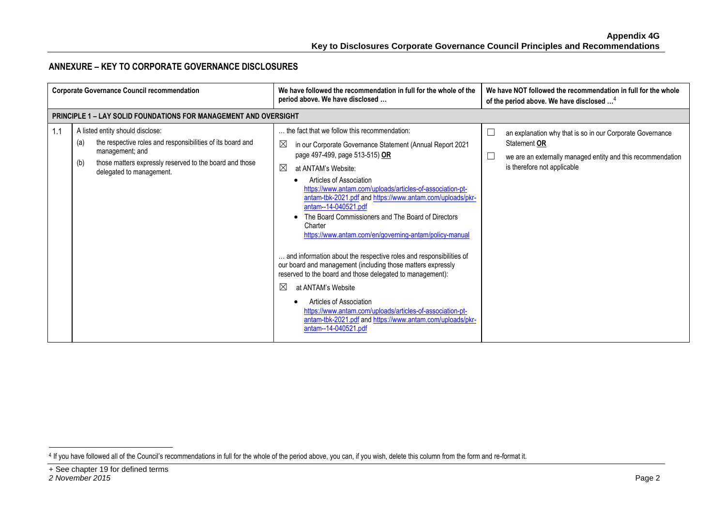## **ANNEXURE – KEY TO CORPORATE GOVERNANCE DISCLOSURES**

| <b>Corporate Governance Council recommendation</b> |                                                                                                                                                                                                                        | We have followed the recommendation in full for the whole of the<br>period above. We have disclosed                                                                                                                                                                                                                                                                                                                                                                                                                                                                                                                                                                                                                                                                                                                                                                                            | We have NOT followed the recommendation in full for the whole<br>of the period above. We have disclosed <sup>4</sup>                                                              |
|----------------------------------------------------|------------------------------------------------------------------------------------------------------------------------------------------------------------------------------------------------------------------------|------------------------------------------------------------------------------------------------------------------------------------------------------------------------------------------------------------------------------------------------------------------------------------------------------------------------------------------------------------------------------------------------------------------------------------------------------------------------------------------------------------------------------------------------------------------------------------------------------------------------------------------------------------------------------------------------------------------------------------------------------------------------------------------------------------------------------------------------------------------------------------------------|-----------------------------------------------------------------------------------------------------------------------------------------------------------------------------------|
|                                                    | <b>PRINCIPLE 1 - LAY SOLID FOUNDATIONS FOR MANAGEMENT AND OVERSIGHT</b>                                                                                                                                                |                                                                                                                                                                                                                                                                                                                                                                                                                                                                                                                                                                                                                                                                                                                                                                                                                                                                                                |                                                                                                                                                                                   |
| 1.1                                                | A listed entity should disclose:<br>the respective roles and responsibilities of its board and<br>(a)<br>management; and<br>those matters expressly reserved to the board and those<br>(b)<br>delegated to management. | the fact that we follow this recommendation:<br>⊠<br>in our Corporate Governance Statement (Annual Report 2021<br>page 497-499, page 513-515) OR<br>⊠<br>at ANTAM's Website:<br>Articles of Association<br>https://www.antam.com/uploads/articles-of-association-pt-<br>antam-tbk-2021.pdf and https://www.antam.com/uploads/pkr-<br>antam--14-040521.pdf<br>The Board Commissioners and The Board of Directors<br>Charter<br>https://www.antam.com/en/governing-antam/policy-manual<br>and information about the respective roles and responsibilities of<br>our board and management (including those matters expressly<br>reserved to the board and those delegated to management):<br>⊠<br>at ANTAM's Website<br>Articles of Association<br>https://www.antam.com/uploads/articles-of-association-pt-<br>antam-tbk-2021.pdf and https://www.antam.com/uploads/pkr-<br>antam--14-040521.pdf | L<br>an explanation why that is so in our Corporate Governance<br>Statement OR<br>we are an externally managed entity and this recommendation<br>L<br>is therefore not applicable |

-

<sup>4</sup> If you have followed all of the Council's recommendations in full for the whole of the period above, you can, if you wish, delete this column from the form and re-format it.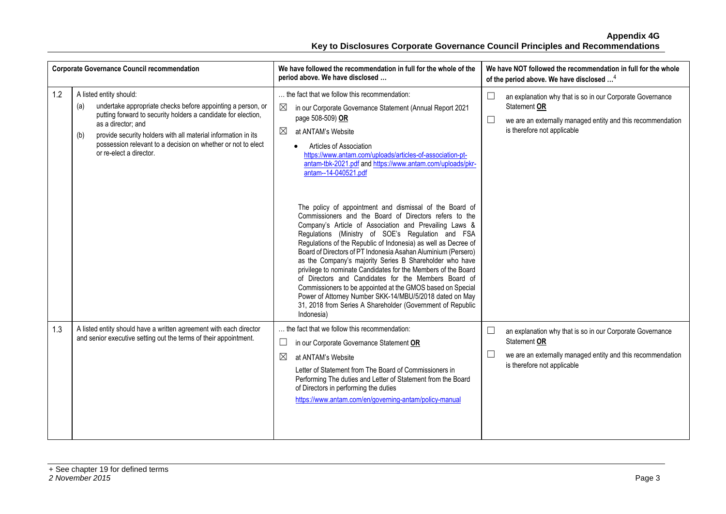|     | <b>Corporate Governance Council recommendation</b>                                                                                                                                                                                                                                                                                                      | We have followed the recommendation in full for the whole of the<br>period above. We have disclosed                                                                                                                                                                                                                                                                                                                                                                                                                                                                                                                                                                                                                                                          | We have NOT followed the recommendation in full for the whole<br>of the period above. We have disclosed <sup>4</sup>                                                                   |
|-----|---------------------------------------------------------------------------------------------------------------------------------------------------------------------------------------------------------------------------------------------------------------------------------------------------------------------------------------------------------|--------------------------------------------------------------------------------------------------------------------------------------------------------------------------------------------------------------------------------------------------------------------------------------------------------------------------------------------------------------------------------------------------------------------------------------------------------------------------------------------------------------------------------------------------------------------------------------------------------------------------------------------------------------------------------------------------------------------------------------------------------------|----------------------------------------------------------------------------------------------------------------------------------------------------------------------------------------|
| 1.2 | A listed entity should:<br>undertake appropriate checks before appointing a person, or<br>(a)<br>putting forward to security holders a candidate for election,<br>as a director; and<br>provide security holders with all material information in its<br>(b)<br>possession relevant to a decision on whether or not to elect<br>or re-elect a director. | the fact that we follow this recommendation:<br>in our Corporate Governance Statement (Annual Report 2021<br>page 508-509) OR<br>$\boxtimes$<br>at ANTAM's Website<br>Articles of Association<br>$\bullet$<br>https://www.antam.com/uploads/articles-of-association-pt-<br>antam-tbk-2021.pdf and https://www.antam.com/uploads/pkr-<br>antam--14-040521.pdf                                                                                                                                                                                                                                                                                                                                                                                                 | an explanation why that is so in our Corporate Governance<br>Statement OR<br>⊔<br>we are an externally managed entity and this recommendation<br>is therefore not applicable           |
|     |                                                                                                                                                                                                                                                                                                                                                         | The policy of appointment and dismissal of the Board of<br>Commissioners and the Board of Directors refers to the<br>Company's Article of Association and Prevailing Laws &<br>Regulations (Ministry of SOE's Regulation and FSA<br>Regulations of the Republic of Indonesia) as well as Decree of<br>Board of Directors of PT Indonesia Asahan Aluminium (Persero)<br>as the Company's majority Series B Shareholder who have<br>privilege to nominate Candidates for the Members of the Board<br>of Directors and Candidates for the Members Board of<br>Commissioners to be appointed at the GMOS based on Special<br>Power of Attorney Number SKK-14/MBU/5/2018 dated on May<br>31, 2018 from Series A Shareholder (Government of Republic<br>Indonesia) |                                                                                                                                                                                        |
| 1.3 | A listed entity should have a written agreement with each director<br>and senior executive setting out the terms of their appointment.                                                                                                                                                                                                                  | the fact that we follow this recommendation:<br>$\Box$<br>in our Corporate Governance Statement OR<br>⊠<br>at ANTAM's Website<br>Letter of Statement from The Board of Commissioners in<br>Performing The duties and Letter of Statement from the Board<br>of Directors in performing the duties<br>https://www.antam.com/en/governing-antam/policy-manual                                                                                                                                                                                                                                                                                                                                                                                                   | ⊔<br>an explanation why that is so in our Corporate Governance<br>Statement OR<br>$\Box$<br>we are an externally managed entity and this recommendation<br>is therefore not applicable |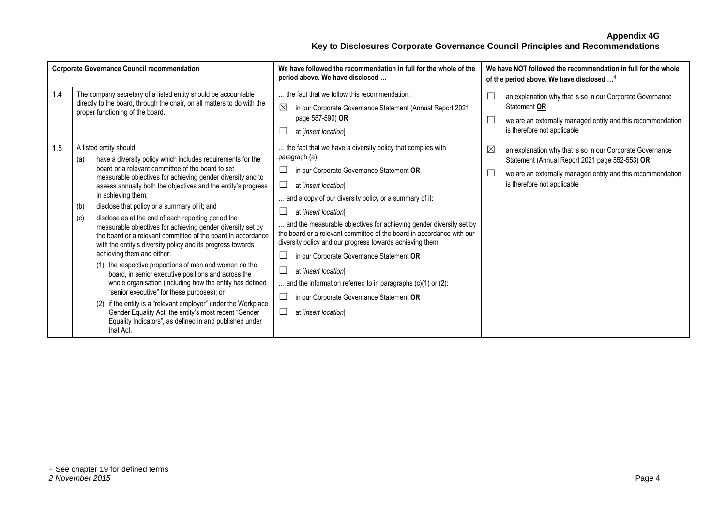|     | <b>Corporate Governance Council recommendation</b>                                                                                                                                                                                                                                                                                                                                                                                                                                                                                                                                                                                                                                                                                                                                                                                                                                                                                                                                                                                                                                      | We have followed the recommendation in full for the whole of the<br>period above. We have disclosed                                                                                                                                                                                                                                                                                                                                                                                                                                                                                                                                                                | We have NOT followed the recommendation in full for the whole<br>of the period above. We have disclosed <sup>4</sup>                                                                                                          |
|-----|-----------------------------------------------------------------------------------------------------------------------------------------------------------------------------------------------------------------------------------------------------------------------------------------------------------------------------------------------------------------------------------------------------------------------------------------------------------------------------------------------------------------------------------------------------------------------------------------------------------------------------------------------------------------------------------------------------------------------------------------------------------------------------------------------------------------------------------------------------------------------------------------------------------------------------------------------------------------------------------------------------------------------------------------------------------------------------------------|--------------------------------------------------------------------------------------------------------------------------------------------------------------------------------------------------------------------------------------------------------------------------------------------------------------------------------------------------------------------------------------------------------------------------------------------------------------------------------------------------------------------------------------------------------------------------------------------------------------------------------------------------------------------|-------------------------------------------------------------------------------------------------------------------------------------------------------------------------------------------------------------------------------|
| 1.4 | The company secretary of a listed entity should be accountable<br>directly to the board, through the chair, on all matters to do with the<br>proper functioning of the board.                                                                                                                                                                                                                                                                                                                                                                                                                                                                                                                                                                                                                                                                                                                                                                                                                                                                                                           | the fact that we follow this recommendation:<br>$\boxtimes$<br>in our Corporate Governance Statement (Annual Report 2021<br>page 557-590) OR<br>at [insert location]                                                                                                                                                                                                                                                                                                                                                                                                                                                                                               | L<br>an explanation why that is so in our Corporate Governance<br>Statement OR<br>L<br>we are an externally managed entity and this recommendation<br>is therefore not applicable                                             |
| 1.5 | A listed entity should:<br>have a diversity policy which includes requirements for the<br>(a)<br>board or a relevant committee of the board to set<br>measurable objectives for achieving gender diversity and to<br>assess annually both the objectives and the entity's progress<br>in achieving them;<br>disclose that policy or a summary of it; and<br>(b)<br>disclose as at the end of each reporting period the<br>(c)<br>measurable objectives for achieving gender diversity set by<br>the board or a relevant committee of the board in accordance<br>with the entity's diversity policy and its progress towards<br>achieving them and either:<br>(1) the respective proportions of men and women on the<br>board, in senior executive positions and across the<br>whole organisation (including how the entity has defined<br>"senior executive" for these purposes); or<br>(2) if the entity is a "relevant employer" under the Workplace<br>Gender Equality Act, the entity's most recent "Gender<br>Equality Indicators", as defined in and published under<br>that Act. | the fact that we have a diversity policy that complies with<br>paragraph (a):<br>in our Corporate Governance Statement OR<br>⊔<br>at [insert location]<br>and a copy of our diversity policy or a summary of it:<br>at [insert location]<br>and the measurable objectives for achieving gender diversity set by<br>the board or a relevant committee of the board in accordance with our<br>diversity policy and our progress towards achieving them:<br>in our Corporate Governance Statement OR<br>at [insert location]<br>and the information referred to in paragraphs $(c)(1)$ or $(2)$ :<br>in our Corporate Governance Statement OR<br>at [insert location] | $\boxtimes$<br>an explanation why that is so in our Corporate Governance<br>Statement (Annual Report 2021 page 552-553) OR<br>we are an externally managed entity and this recommendation<br>L<br>is therefore not applicable |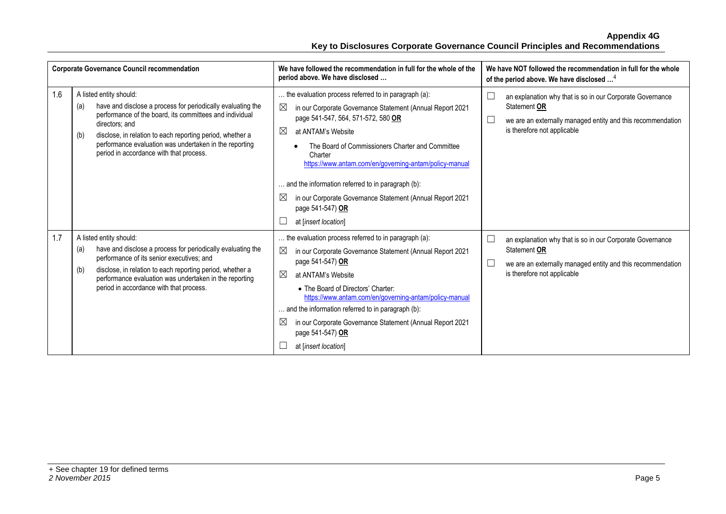|     | <b>Corporate Governance Council recommendation</b>                                                                                                                                                                                                                                                                                                  | We have followed the recommendation in full for the whole of the<br>period above. We have disclosed                                                                                                                                                                                                                                                                                                                                                                                                     | We have NOT followed the recommendation in full for the whole<br>of the period above. We have disclosed <sup>4</sup>                                                              |
|-----|-----------------------------------------------------------------------------------------------------------------------------------------------------------------------------------------------------------------------------------------------------------------------------------------------------------------------------------------------------|---------------------------------------------------------------------------------------------------------------------------------------------------------------------------------------------------------------------------------------------------------------------------------------------------------------------------------------------------------------------------------------------------------------------------------------------------------------------------------------------------------|-----------------------------------------------------------------------------------------------------------------------------------------------------------------------------------|
| 1.6 | A listed entity should:<br>have and disclose a process for periodically evaluating the<br>(a)<br>performance of the board, its committees and individual<br>directors: and<br>disclose, in relation to each reporting period, whether a<br>(b)<br>performance evaluation was undertaken in the reporting<br>period in accordance with that process. | the evaluation process referred to in paragraph (a):<br>$\boxtimes$<br>in our Corporate Governance Statement (Annual Report 2021<br>page 541-547, 564, 571-572, 580 OR<br>⊠<br>at ANTAM's Website<br>The Board of Commissioners Charter and Committee<br>Charter<br>https://www.antam.com/en/governing-antam/policy-manual<br>and the information referred to in paragraph (b):<br>$\boxtimes$<br>in our Corporate Governance Statement (Annual Report 2021<br>page 541-547) OR<br>at [insert location] | an explanation why that is so in our Corporate Governance<br>Statement OR<br>we are an externally managed entity and this recommendation<br>is therefore not applicable           |
| 1.7 | A listed entity should:<br>have and disclose a process for periodically evaluating the<br>(a)<br>performance of its senior executives; and<br>disclose, in relation to each reporting period, whether a<br>(b)<br>performance evaluation was undertaken in the reporting<br>period in accordance with that process.                                 | the evaluation process referred to in paragraph (a):<br>in our Corporate Governance Statement (Annual Report 2021<br>page 541-547) OR<br>⊠<br>at ANTAM's Website<br>• The Board of Directors' Charter:<br>https://www.antam.com/en/governing-antam/policy-manual<br>and the information referred to in paragraph (b):<br>$\boxtimes$<br>in our Corporate Governance Statement (Annual Report 2021<br>page 541-547) OR<br>at [insert location]                                                           | an explanation why that is so in our Corporate Governance<br>Statement OR<br>we are an externally managed entity and this recommendation<br>$\Box$<br>is therefore not applicable |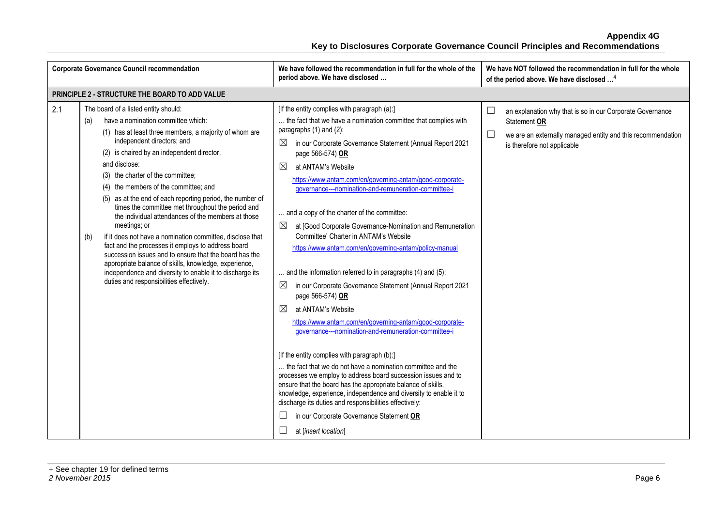| <b>Corporate Governance Council recommendation</b> |                                                                                                                                                                                                                                                                                                                                                                                                                                                                                                                                                                                                                                                                                                                                                                                                                                                                     | We have followed the recommendation in full for the whole of the<br>period above. We have disclosed                                                                                                                                                                                                                                                                                                                                                                                                                                                                                                                                                                                                                                                                                                                                                                                                                                                                                                                                                                                                                                                                                                                                                                                                                                                                 | We have NOT followed the recommendation in full for the whole<br>of the period above. We have disclosed <sup>4</sup>                                                                          |
|----------------------------------------------------|---------------------------------------------------------------------------------------------------------------------------------------------------------------------------------------------------------------------------------------------------------------------------------------------------------------------------------------------------------------------------------------------------------------------------------------------------------------------------------------------------------------------------------------------------------------------------------------------------------------------------------------------------------------------------------------------------------------------------------------------------------------------------------------------------------------------------------------------------------------------|---------------------------------------------------------------------------------------------------------------------------------------------------------------------------------------------------------------------------------------------------------------------------------------------------------------------------------------------------------------------------------------------------------------------------------------------------------------------------------------------------------------------------------------------------------------------------------------------------------------------------------------------------------------------------------------------------------------------------------------------------------------------------------------------------------------------------------------------------------------------------------------------------------------------------------------------------------------------------------------------------------------------------------------------------------------------------------------------------------------------------------------------------------------------------------------------------------------------------------------------------------------------------------------------------------------------------------------------------------------------|-----------------------------------------------------------------------------------------------------------------------------------------------------------------------------------------------|
|                                                    | PRINCIPLE 2 - STRUCTURE THE BOARD TO ADD VALUE                                                                                                                                                                                                                                                                                                                                                                                                                                                                                                                                                                                                                                                                                                                                                                                                                      |                                                                                                                                                                                                                                                                                                                                                                                                                                                                                                                                                                                                                                                                                                                                                                                                                                                                                                                                                                                                                                                                                                                                                                                                                                                                                                                                                                     |                                                                                                                                                                                               |
| 2.1                                                | The board of a listed entity should:<br>have a nomination committee which:<br>(a)<br>(1) has at least three members, a majority of whom are<br>independent directors; and<br>(2) is chaired by an independent director,<br>and disclose:<br>(3) the charter of the committee;<br>(4) the members of the committee; and<br>(5) as at the end of each reporting period, the number of<br>times the committee met throughout the period and<br>the individual attendances of the members at those<br>meetings; or<br>if it does not have a nomination committee, disclose that<br>(b)<br>fact and the processes it employs to address board<br>succession issues and to ensure that the board has the<br>appropriate balance of skills, knowledge, experience,<br>independence and diversity to enable it to discharge its<br>duties and responsibilities effectively. | [If the entity complies with paragraph (a):]<br>the fact that we have a nomination committee that complies with<br>paragraphs (1) and (2):<br>in our Corporate Governance Statement (Annual Report 2021<br>page 566-574) OR<br>$\boxtimes$<br>at ANTAM's Website<br>https://www.antam.com/en/governing-antam/good-corporate-<br>governance---nomination-and-remuneration-committee-i<br>and a copy of the charter of the committee:<br>at [Good Corporate Governance-Nomination and Remuneration<br>Committee' Charter in ANTAM's Website<br>https://www.antam.com/en/governing-antam/policy-manual<br>and the information referred to in paragraphs (4) and (5):<br>$\boxtimes$<br>in our Corporate Governance Statement (Annual Report 2021<br>page 566-574) OR<br>⊠<br>at ANTAM's Website<br>https://www.antam.com/en/governing-antam/good-corporate-<br>governance---nomination-and-remuneration-committee-i<br>[If the entity complies with paragraph (b):]<br>the fact that we do not have a nomination committee and the<br>processes we employ to address board succession issues and to<br>ensure that the board has the appropriate balance of skills,<br>knowledge, experience, independence and diversity to enable it to<br>discharge its duties and responsibilities effectively:<br>in our Corporate Governance Statement OR<br>at [insert location] | an explanation why that is so in our Corporate Governance<br>$\Box$<br>Statement OR<br>$\sqcup$<br>we are an externally managed entity and this recommendation<br>is therefore not applicable |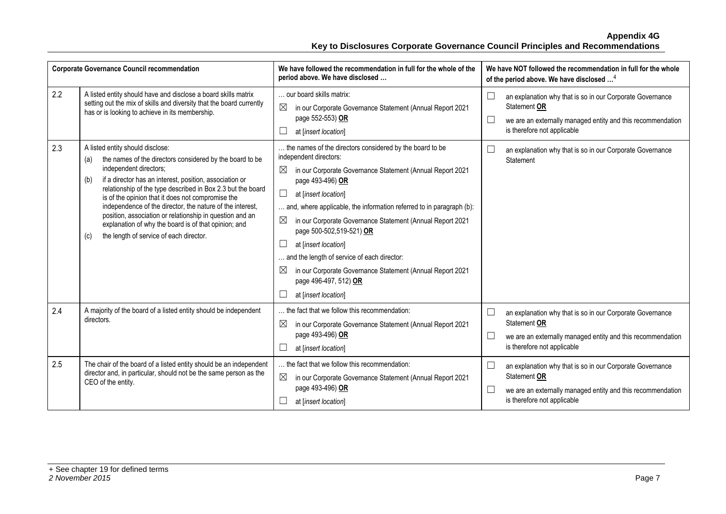| <b>Corporate Governance Council recommendation</b> |                                                                                                                                                                                                                                                                                                                                                                                                                                                                                                                                                        | We have followed the recommendation in full for the whole of the<br>period above. We have disclosed                                                                                                                                                                                                                                                                                                                                                                                                                                                                                            | We have NOT followed the recommendation in full for the whole<br>of the period above. We have disclosed <sup>4</sup>                                                              |
|----------------------------------------------------|--------------------------------------------------------------------------------------------------------------------------------------------------------------------------------------------------------------------------------------------------------------------------------------------------------------------------------------------------------------------------------------------------------------------------------------------------------------------------------------------------------------------------------------------------------|------------------------------------------------------------------------------------------------------------------------------------------------------------------------------------------------------------------------------------------------------------------------------------------------------------------------------------------------------------------------------------------------------------------------------------------------------------------------------------------------------------------------------------------------------------------------------------------------|-----------------------------------------------------------------------------------------------------------------------------------------------------------------------------------|
| 2.2                                                | A listed entity should have and disclose a board skills matrix<br>setting out the mix of skills and diversity that the board currently<br>has or is looking to achieve in its membership.                                                                                                                                                                                                                                                                                                                                                              | our board skills matrix:<br>$\boxtimes$<br>in our Corporate Governance Statement (Annual Report 2021<br>page 552-553) OR<br>at [insert location]                                                                                                                                                                                                                                                                                                                                                                                                                                               | an explanation why that is so in our Corporate Governance<br>Statement OR<br>⊔<br>we are an externally managed entity and this recommendation<br>is therefore not applicable      |
| 2.3                                                | A listed entity should disclose:<br>the names of the directors considered by the board to be<br>(a)<br>independent directors;<br>if a director has an interest, position, association or<br>(b)<br>relationship of the type described in Box 2.3 but the board<br>is of the opinion that it does not compromise the<br>independence of the director, the nature of the interest,<br>position, association or relationship in question and an<br>explanation of why the board is of that opinion; and<br>the length of service of each director.<br>(c) | the names of the directors considered by the board to be<br>independent directors:<br>$\boxtimes$<br>in our Corporate Governance Statement (Annual Report 2021<br>page 493-496) OR<br>$\Box$<br>at [insert location]<br>and, where applicable, the information referred to in paragraph (b):<br>$\boxtimes$<br>in our Corporate Governance Statement (Annual Report 2021<br>page 500-502,519-521) OR<br>at [insert location]<br>and the length of service of each director:<br>⊠<br>in our Corporate Governance Statement (Annual Report 2021<br>page 496-497, 512) OR<br>at [insert location] | an explanation why that is so in our Corporate Governance<br>Statement                                                                                                            |
| 2.4                                                | A majority of the board of a listed entity should be independent<br>directors.                                                                                                                                                                                                                                                                                                                                                                                                                                                                         | the fact that we follow this recommendation:<br>$\boxtimes$<br>in our Corporate Governance Statement (Annual Report 2021<br>page 493-496) OR<br>at [insert location]                                                                                                                                                                                                                                                                                                                                                                                                                           | an explanation why that is so in our Corporate Governance<br>Statement OR<br>we are an externally managed entity and this recommendation<br>$\Box$<br>is therefore not applicable |
| 2.5                                                | The chair of the board of a listed entity should be an independent<br>director and, in particular, should not be the same person as the<br>CEO of the entity.                                                                                                                                                                                                                                                                                                                                                                                          | the fact that we follow this recommendation:<br>$\boxtimes$<br>in our Corporate Governance Statement (Annual Report 2021<br>page 493-496) OR<br>at [insert location]                                                                                                                                                                                                                                                                                                                                                                                                                           | an explanation why that is so in our Corporate Governance<br>Statement OR<br>we are an externally managed entity and this recommendation<br>is therefore not applicable           |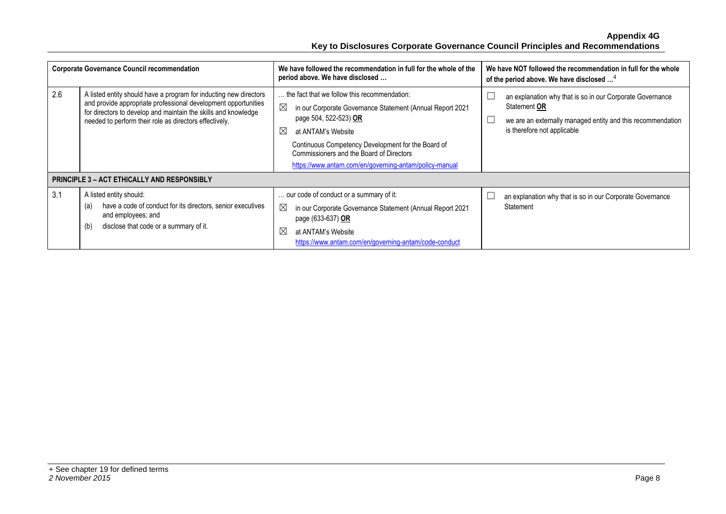| <b>Corporate Governance Council recommendation</b> |                                                                                                                                                                                                                                                                                                                       | We have followed the recommendation in full for the whole of the<br>period above. We have disclosed                                                                                                                                                                                                                                                | We have NOT followed the recommendation in full for the whole<br>of the period above. We have disclosed <sup>4</sup>                                                    |
|----------------------------------------------------|-----------------------------------------------------------------------------------------------------------------------------------------------------------------------------------------------------------------------------------------------------------------------------------------------------------------------|----------------------------------------------------------------------------------------------------------------------------------------------------------------------------------------------------------------------------------------------------------------------------------------------------------------------------------------------------|-------------------------------------------------------------------------------------------------------------------------------------------------------------------------|
| 2.6                                                | A listed entity should have a program for inducting new directors<br>and provide appropriate professional development opportunities<br>for directors to develop and maintain the skills and knowledge<br>needed to perform their role as directors effectively.<br><b>PRINCIPLE 3 - ACT ETHICALLY AND RESPONSIBLY</b> | the fact that we follow this recommendation:<br>$\boxtimes$<br>in our Corporate Governance Statement (Annual Report 2021<br>page 504, 522-523) OR<br>$\boxtimes$<br>at ANTAM's Website<br>Continuous Competency Development for the Board of<br>Commissioners and the Board of Directors<br>https://www.antam.com/en/governing-antam/policy-manual | an explanation why that is so in our Corporate Governance<br>Statement OR<br>we are an externally managed entity and this recommendation<br>is therefore not applicable |
| 3.1                                                | A listed entity should:<br>have a code of conduct for its directors, senior executives<br>(a)<br>and employees; and<br>disclose that code or a summary of it.<br>(b)                                                                                                                                                  | our code of conduct or a summary of it:<br>⊠<br>in our Corporate Governance Statement (Annual Report 2021<br>page (633-637) OR<br>$\boxtimes$<br>at ANTAM's Website<br>https://www.antam.com/en/governing-antam/code-conduct                                                                                                                       | an explanation why that is so in our Corporate Governance<br>Statement                                                                                                  |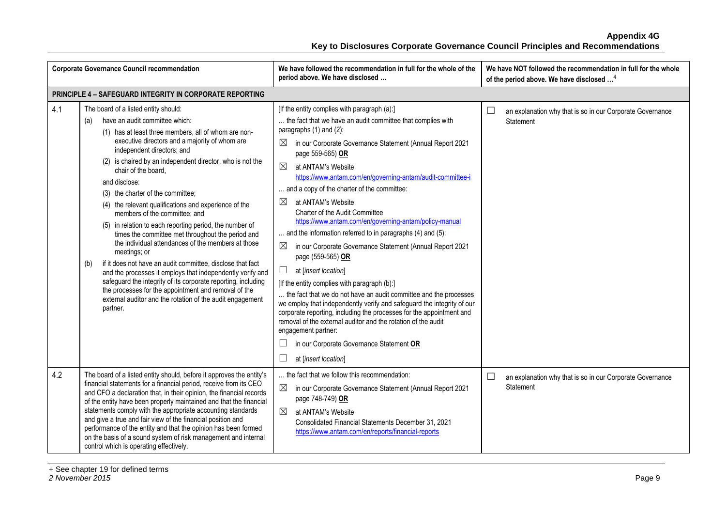| <b>Corporate Governance Council recommendation</b> |                                                                                                                                                                                                                                                                                                                                                                                                                                                                                                                                                                                                                                                                                                                                                                                                                                                                                                                                                                                      | We have followed the recommendation in full for the whole of the<br>period above. We have disclosed                                                                                                                                                                                                                                                                                                                                                                                                                                                                                                                                                                                                                                                                                                                                                                                                                                                                                                                                                                                                                                                   | We have NOT followed the recommendation in full for the whole<br>of the period above. We have disclosed <sup>4</sup> |
|----------------------------------------------------|--------------------------------------------------------------------------------------------------------------------------------------------------------------------------------------------------------------------------------------------------------------------------------------------------------------------------------------------------------------------------------------------------------------------------------------------------------------------------------------------------------------------------------------------------------------------------------------------------------------------------------------------------------------------------------------------------------------------------------------------------------------------------------------------------------------------------------------------------------------------------------------------------------------------------------------------------------------------------------------|-------------------------------------------------------------------------------------------------------------------------------------------------------------------------------------------------------------------------------------------------------------------------------------------------------------------------------------------------------------------------------------------------------------------------------------------------------------------------------------------------------------------------------------------------------------------------------------------------------------------------------------------------------------------------------------------------------------------------------------------------------------------------------------------------------------------------------------------------------------------------------------------------------------------------------------------------------------------------------------------------------------------------------------------------------------------------------------------------------------------------------------------------------|----------------------------------------------------------------------------------------------------------------------|
|                                                    | PRINCIPLE 4 - SAFEGUARD INTEGRITY IN CORPORATE REPORTING                                                                                                                                                                                                                                                                                                                                                                                                                                                                                                                                                                                                                                                                                                                                                                                                                                                                                                                             |                                                                                                                                                                                                                                                                                                                                                                                                                                                                                                                                                                                                                                                                                                                                                                                                                                                                                                                                                                                                                                                                                                                                                       |                                                                                                                      |
| 4.1                                                | The board of a listed entity should:<br>have an audit committee which:<br>(a)<br>(1) has at least three members, all of whom are non-<br>executive directors and a majority of whom are<br>independent directors; and<br>(2) is chaired by an independent director, who is not the<br>chair of the board.<br>and disclose:<br>(3) the charter of the committee;<br>(4) the relevant qualifications and experience of the<br>members of the committee; and<br>(5) in relation to each reporting period, the number of<br>times the committee met throughout the period and<br>the individual attendances of the members at those<br>meetings; or<br>if it does not have an audit committee, disclose that fact<br>(b)<br>and the processes it employs that independently verify and<br>safeguard the integrity of its corporate reporting, including<br>the processes for the appointment and removal of the<br>external auditor and the rotation of the audit engagement<br>partner. | [If the entity complies with paragraph (a):]<br>the fact that we have an audit committee that complies with<br>paragraphs $(1)$ and $(2)$ :<br>⊠<br>in our Corporate Governance Statement (Annual Report 2021<br>page 559-565) OR<br>$\boxtimes$<br>at ANTAM's Website<br>https://www.antam.com/en/governing-antam/audit-committee-i<br>and a copy of the charter of the committee:<br>⊠<br>at ANTAM's Website<br><b>Charter of the Audit Committee</b><br>https://www.antam.com/en/governing-antam/policy-manual<br>and the information referred to in paragraphs (4) and (5):<br>⊠<br>in our Corporate Governance Statement (Annual Report 2021<br>page (559-565) OR<br>$\Box$<br>at [insert location]<br>[If the entity complies with paragraph (b):]<br>the fact that we do not have an audit committee and the processes<br>we employ that independently verify and safeguard the integrity of our<br>corporate reporting, including the processes for the appointment and<br>removal of the external auditor and the rotation of the audit<br>engagement partner:<br>⊔<br>in our Corporate Governance Statement OR<br>⊔<br>at [insert location] | ⊔<br>an explanation why that is so in our Corporate Governance<br>Statement                                          |
| 4.2                                                | The board of a listed entity should, before it approves the entity's<br>financial statements for a financial period, receive from its CEO<br>and CFO a declaration that, in their opinion, the financial records<br>of the entity have been properly maintained and that the financial<br>statements comply with the appropriate accounting standards<br>and give a true and fair view of the financial position and<br>performance of the entity and that the opinion has been formed<br>on the basis of a sound system of risk management and internal<br>control which is operating effectively.                                                                                                                                                                                                                                                                                                                                                                                  | the fact that we follow this recommendation:<br>$\boxtimes$<br>in our Corporate Governance Statement (Annual Report 2021<br>page 748-749) OR<br>⊠<br>at ANTAM's Website<br>Consolidated Financial Statements December 31, 2021<br>https://www.antam.com/en/reports/financial-reports                                                                                                                                                                                                                                                                                                                                                                                                                                                                                                                                                                                                                                                                                                                                                                                                                                                                  | ப<br>an explanation why that is so in our Corporate Governance<br>Statement                                          |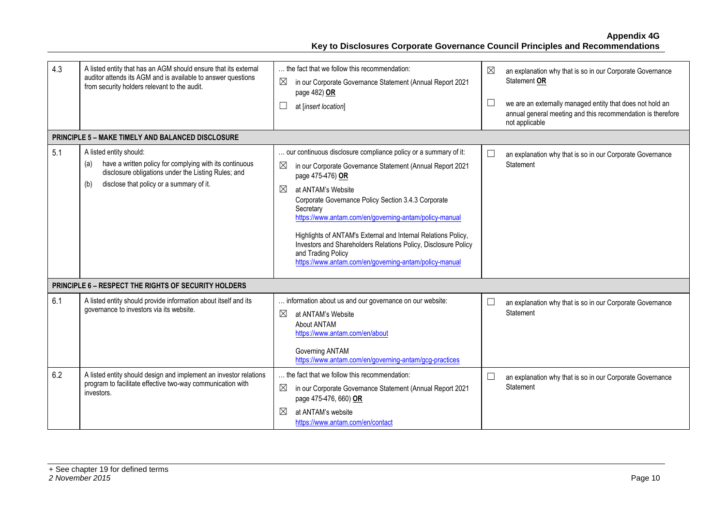| 4.3 | A listed entity that has an AGM should ensure that its external<br>auditor attends its AGM and is available to answer questions<br>from security holders relevant to the audit.                     | the fact that we follow this recommendation:<br>$\boxtimes$<br>in our Corporate Governance Statement (Annual Report 2021<br>page 482) OR<br>Ш<br>at [insert location]                                                                                                                                                                                                                                                                                                                                                                       | $\boxtimes$<br>L | an explanation why that is so in our Corporate Governance<br>Statement OR<br>we are an externally managed entity that does not hold an<br>annual general meeting and this recommendation is therefore<br>not applicable |
|-----|-----------------------------------------------------------------------------------------------------------------------------------------------------------------------------------------------------|---------------------------------------------------------------------------------------------------------------------------------------------------------------------------------------------------------------------------------------------------------------------------------------------------------------------------------------------------------------------------------------------------------------------------------------------------------------------------------------------------------------------------------------------|------------------|-------------------------------------------------------------------------------------------------------------------------------------------------------------------------------------------------------------------------|
|     | <b>PRINCIPLE 5 - MAKE TIMELY AND BALANCED DISCLOSURE</b>                                                                                                                                            |                                                                                                                                                                                                                                                                                                                                                                                                                                                                                                                                             |                  |                                                                                                                                                                                                                         |
| 5.1 | A listed entity should:<br>have a written policy for complying with its continuous<br>(a)<br>disclosure obligations under the Listing Rules; and<br>disclose that policy or a summary of it.<br>(b) | our continuous disclosure compliance policy or a summary of it:<br>$\boxtimes$<br>in our Corporate Governance Statement (Annual Report 2021<br>page 475-476) OR<br>⊠<br>at ANTAM's Website<br>Corporate Governance Policy Section 3.4.3 Corporate<br>Secretary<br>https://www.antam.com/en/governing-antam/policy-manual<br>Highlights of ANTAM's External and Internal Relations Policy,<br>Investors and Shareholders Relations Policy, Disclosure Policy<br>and Trading Policy<br>https://www.antam.com/en/governing-antam/policy-manual |                  | an explanation why that is so in our Corporate Governance<br>Statement                                                                                                                                                  |
|     | <b>PRINCIPLE 6 - RESPECT THE RIGHTS OF SECURITY HOLDERS</b>                                                                                                                                         |                                                                                                                                                                                                                                                                                                                                                                                                                                                                                                                                             |                  |                                                                                                                                                                                                                         |
| 6.1 | A listed entity should provide information about itself and its<br>governance to investors via its website.                                                                                         | information about us and our governance on our website:<br>$\boxtimes$<br>at ANTAM's Website<br>About ANTAM<br>https://www.antam.com/en/about<br>Governing ANTAM<br>https://www.antam.com/en/governing-antam/gcg-practices                                                                                                                                                                                                                                                                                                                  | $\Box$           | an explanation why that is so in our Corporate Governance<br>Statement                                                                                                                                                  |
| 6.2 | A listed entity should design and implement an investor relations<br>program to facilitate effective two-way communication with<br>investors.                                                       | the fact that we follow this recommendation:<br>$\boxtimes$<br>in our Corporate Governance Statement (Annual Report 2021<br>page 475-476, 660) OR<br>⊠<br>at ANTAM's website<br>https://www.antam.com/en/contact                                                                                                                                                                                                                                                                                                                            |                  | an explanation why that is so in our Corporate Governance<br>Statement                                                                                                                                                  |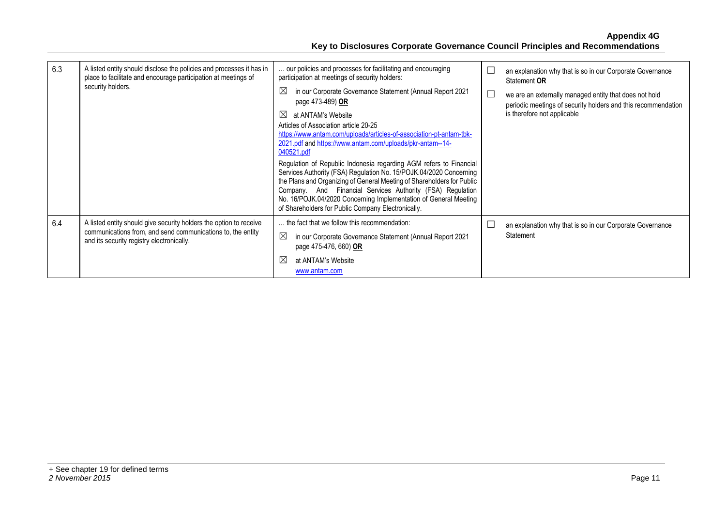| 6.3 | A listed entity should disclose the policies and processes it has in<br>place to facilitate and encourage participation at meetings of<br>security holders.                    | our policies and processes for facilitating and encouraging<br>participation at meetings of security holders:                                                                                                                                                                                                                                                                                              | L | an explanation why that is so in our Corporate Governance<br>Statement OR                                                                              |
|-----|--------------------------------------------------------------------------------------------------------------------------------------------------------------------------------|------------------------------------------------------------------------------------------------------------------------------------------------------------------------------------------------------------------------------------------------------------------------------------------------------------------------------------------------------------------------------------------------------------|---|--------------------------------------------------------------------------------------------------------------------------------------------------------|
|     |                                                                                                                                                                                | $\boxtimes$<br>in our Corporate Governance Statement (Annual Report 2021<br>page 473-489) OR                                                                                                                                                                                                                                                                                                               | E | we are an externally managed entity that does not hold<br>periodic meetings of security holders and this recommendation<br>is therefore not applicable |
|     |                                                                                                                                                                                | $\bowtie$<br>at ANTAM's Website<br>Articles of Association article 20-25<br>https://www.antam.com/uploads/articles-of-association-pt-antam-tbk-<br>2021.pdf and https://www.antam.com/uploads/pkr-antam--14-<br>040521.pdf                                                                                                                                                                                 |   |                                                                                                                                                        |
|     |                                                                                                                                                                                | Regulation of Republic Indonesia regarding AGM refers to Financial<br>Services Authority (FSA) Regulation No. 15/POJK.04/2020 Concerning<br>the Plans and Organizing of General Meeting of Shareholders for Public<br>Company. And Financial Services Authority (FSA) Regulation<br>No. 16/POJK.04/2020 Concerning Implementation of General Meeting<br>of Shareholders for Public Company Electronically. |   |                                                                                                                                                        |
| 6.4 | A listed entity should give security holders the option to receive<br>communications from, and send communications to, the entity<br>and its security registry electronically. | the fact that we follow this recommendation:<br>$\boxtimes$<br>in our Corporate Governance Statement (Annual Report 2021<br>page 475-476, 660) OR                                                                                                                                                                                                                                                          |   | an explanation why that is so in our Corporate Governance<br>Statement                                                                                 |
|     |                                                                                                                                                                                | $\boxtimes$<br>at ANTAM's Website<br>www.antam.com                                                                                                                                                                                                                                                                                                                                                         |   |                                                                                                                                                        |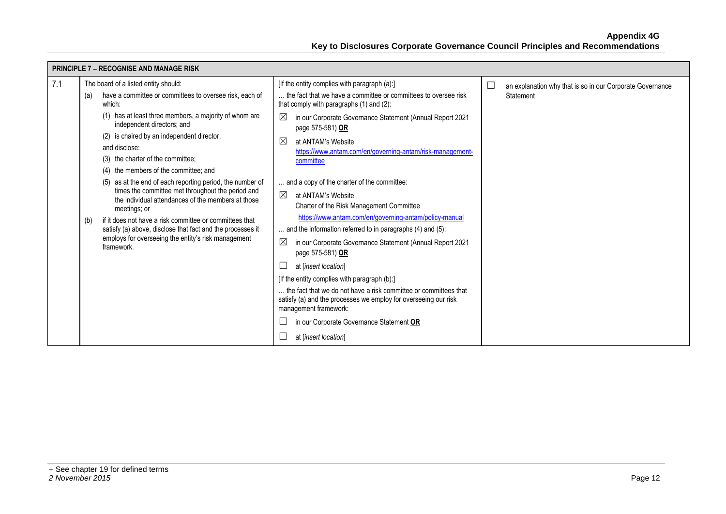|     | <b>PRINCIPLE 7 - RECOGNISE AND MANAGE RISK</b>                                                                                                                                                    |                                                                                                                                                              |                                                                     |  |
|-----|---------------------------------------------------------------------------------------------------------------------------------------------------------------------------------------------------|--------------------------------------------------------------------------------------------------------------------------------------------------------------|---------------------------------------------------------------------|--|
| 7.1 | The board of a listed entity should:                                                                                                                                                              | [If the entity complies with paragraph (a):]                                                                                                                 | $\Box$<br>an explanation why that is so in our Corporate Governance |  |
|     | have a committee or committees to oversee risk, each of<br>(a)<br>which:                                                                                                                          | the fact that we have a committee or committees to oversee risk<br>that comply with paragraphs (1) and (2):                                                  | Statement                                                           |  |
|     | (1) has at least three members, a majority of whom are<br>independent directors; and                                                                                                              | $\bowtie$<br>in our Corporate Governance Statement (Annual Report 2021<br>page 575-581) OR                                                                   |                                                                     |  |
|     | (2) is chaired by an independent director,                                                                                                                                                        | $\boxtimes$<br>at ANTAM's Website                                                                                                                            |                                                                     |  |
|     | and disclose:                                                                                                                                                                                     | https://www.antam.com/en/governing-antam/risk-management-                                                                                                    |                                                                     |  |
|     | (3) the charter of the committee:                                                                                                                                                                 | committee                                                                                                                                                    |                                                                     |  |
|     | the members of the committee; and<br>(4)                                                                                                                                                          |                                                                                                                                                              |                                                                     |  |
|     | as at the end of each reporting period, the number of<br>(5)                                                                                                                                      | and a copy of the charter of the committee:                                                                                                                  |                                                                     |  |
|     | times the committee met throughout the period and<br>the individual attendances of the members at those                                                                                           | ⊠<br>at ANTAM's Website                                                                                                                                      |                                                                     |  |
|     | meetings; or                                                                                                                                                                                      | Charter of the Risk Management Committee                                                                                                                     |                                                                     |  |
|     | if it does not have a risk committee or committees that<br>(b)<br>satisfy (a) above, disclose that fact and the processes it<br>employs for overseeing the entity's risk management<br>framework. | https://www.antam.com/en/governing-antam/policy-manual                                                                                                       |                                                                     |  |
|     |                                                                                                                                                                                                   | and the information referred to in paragraphs (4) and (5):                                                                                                   |                                                                     |  |
|     |                                                                                                                                                                                                   | ⊠<br>in our Corporate Governance Statement (Annual Report 2021<br>page 575-581) OR                                                                           |                                                                     |  |
|     |                                                                                                                                                                                                   | at [insert location]                                                                                                                                         |                                                                     |  |
|     |                                                                                                                                                                                                   | [If the entity complies with paragraph (b):]                                                                                                                 |                                                                     |  |
|     |                                                                                                                                                                                                   | the fact that we do not have a risk committee or committees that<br>satisfy (a) and the processes we employ for overseeing our risk<br>management framework: |                                                                     |  |
|     |                                                                                                                                                                                                   | in our Corporate Governance Statement OR                                                                                                                     |                                                                     |  |
|     |                                                                                                                                                                                                   | at [insert location]                                                                                                                                         |                                                                     |  |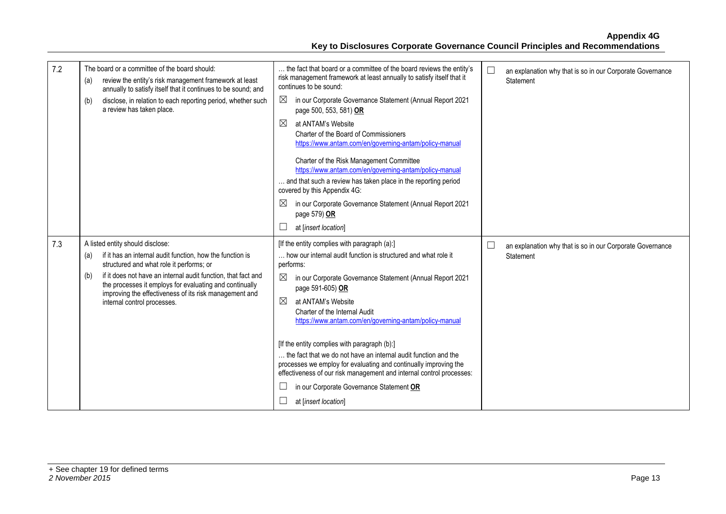| 7.2 | The board or a committee of the board should:<br>review the entity's risk management framework at least<br>(a)<br>annually to satisfy itself that it continues to be sound; and<br>disclose, in relation to each reporting period, whether such<br>(b)<br>a review has taken place.                                                                                          | the fact that board or a committee of the board reviews the entity's<br>risk management framework at least annually to satisfy itself that it<br>continues to be sound:<br>$\boxtimes$<br>in our Corporate Governance Statement (Annual Report 2021<br>page 500, 553, 581) OR<br>$\boxtimes$<br>at ANTAM's Website<br>Charter of the Board of Commissioners<br>https://www.antam.com/en/governing-antam/policy-manual<br>Charter of the Risk Management Committee<br>https://www.antam.com/en/governing-antam/policy-manual<br>and that such a review has taken place in the reporting period<br>covered by this Appendix 4G:<br>⊠<br>in our Corporate Governance Statement (Annual Report 2021<br>page 579) OR | $\Box$<br>an explanation why that is so in our Corporate Governance<br>Statement |
|-----|------------------------------------------------------------------------------------------------------------------------------------------------------------------------------------------------------------------------------------------------------------------------------------------------------------------------------------------------------------------------------|-----------------------------------------------------------------------------------------------------------------------------------------------------------------------------------------------------------------------------------------------------------------------------------------------------------------------------------------------------------------------------------------------------------------------------------------------------------------------------------------------------------------------------------------------------------------------------------------------------------------------------------------------------------------------------------------------------------------|----------------------------------------------------------------------------------|
|     |                                                                                                                                                                                                                                                                                                                                                                              | at [insert location]                                                                                                                                                                                                                                                                                                                                                                                                                                                                                                                                                                                                                                                                                            |                                                                                  |
| 7.3 | A listed entity should disclose:<br>if it has an internal audit function, how the function is<br>(a)<br>structured and what role it performs; or<br>if it does not have an internal audit function, that fact and<br>(b)<br>the processes it employs for evaluating and continually<br>improving the effectiveness of its risk management and<br>internal control processes. | [If the entity complies with paragraph (a):]<br>how our internal audit function is structured and what role it<br>performs:<br>in our Corporate Governance Statement (Annual Report 2021<br>page 591-605) OR<br>⊠<br>at ANTAM's Website<br>Charter of the Internal Audit<br>https://www.antam.com/en/governing-antam/policy-manual<br>[If the entity complies with paragraph (b):]<br>the fact that we do not have an internal audit function and the<br>processes we employ for evaluating and continually improving the<br>effectiveness of our risk management and internal control processes:<br>in our Corporate Governance Statement OR<br>at [insert location]                                           | $\Box$<br>an explanation why that is so in our Corporate Governance<br>Statement |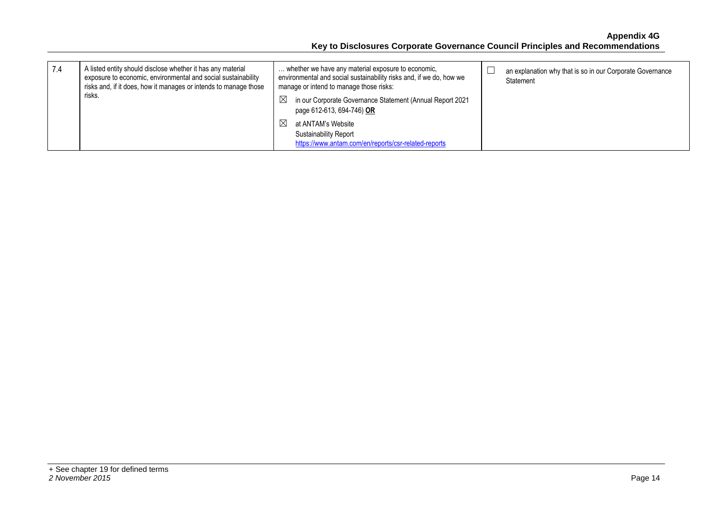| 7.4 | A listed entity should disclose whether it has any material<br>exposure to economic, environmental and social sustainability<br>risks and, if it does, how it manages or intends to manage those<br>risks. | whether we have any material exposure to economic.<br>environmental and social sustainability risks and, if we do, how we<br>manage or intend to manage those risks: | an explanation why that is so in our Corporate Governance<br>Statement |
|-----|------------------------------------------------------------------------------------------------------------------------------------------------------------------------------------------------------------|----------------------------------------------------------------------------------------------------------------------------------------------------------------------|------------------------------------------------------------------------|
|     |                                                                                                                                                                                                            | in our Corporate Governance Statement (Annual Report 2021<br>$\boxtimes$<br>page 612-613, 694-746) OR                                                                |                                                                        |
|     |                                                                                                                                                                                                            | at ANTAM's Website<br>$\bowtie$<br><b>Sustainability Report</b><br>https://www.antam.com/en/reports/csr-related-reports                                              |                                                                        |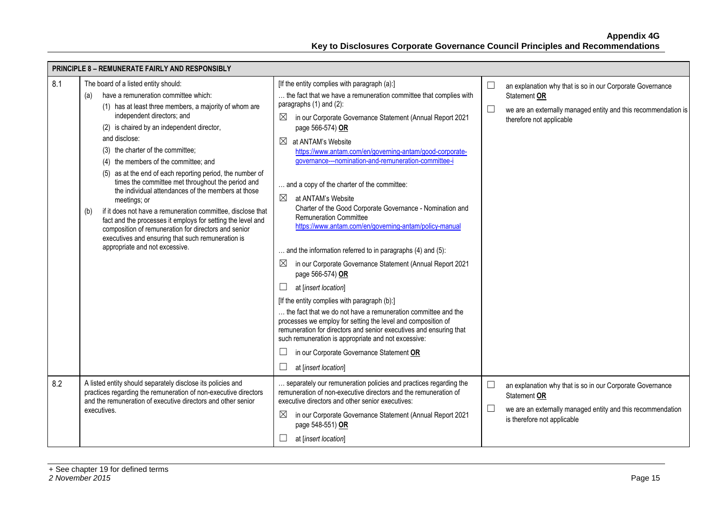| <b>PRINCIPLE 8 - REMUNERATE FAIRLY AND RESPONSIBLY</b> |                                                                                                                                                                                                                                                                                                                                                                                                                                                                                                                                                                                                                                                                                                                                                                                                      |                                                                                                                                                                                                                                                                                                                                                                                                                                                                                                                                                                                                                                                                                                                                                                                                                                                                                                                                                                                                                                                                                                                                                                                                            |                                                                                                                                                                                             |  |  |
|--------------------------------------------------------|------------------------------------------------------------------------------------------------------------------------------------------------------------------------------------------------------------------------------------------------------------------------------------------------------------------------------------------------------------------------------------------------------------------------------------------------------------------------------------------------------------------------------------------------------------------------------------------------------------------------------------------------------------------------------------------------------------------------------------------------------------------------------------------------------|------------------------------------------------------------------------------------------------------------------------------------------------------------------------------------------------------------------------------------------------------------------------------------------------------------------------------------------------------------------------------------------------------------------------------------------------------------------------------------------------------------------------------------------------------------------------------------------------------------------------------------------------------------------------------------------------------------------------------------------------------------------------------------------------------------------------------------------------------------------------------------------------------------------------------------------------------------------------------------------------------------------------------------------------------------------------------------------------------------------------------------------------------------------------------------------------------------|---------------------------------------------------------------------------------------------------------------------------------------------------------------------------------------------|--|--|
| 8.1                                                    | The board of a listed entity should:<br>have a remuneration committee which:<br>(a)<br>(1) has at least three members, a majority of whom are<br>independent directors; and<br>(2) is chaired by an independent director,<br>and disclose:<br>(3) the charter of the committee;<br>(4) the members of the committee; and<br>(5) as at the end of each reporting period, the number of<br>times the committee met throughout the period and<br>the individual attendances of the members at those<br>meetings; or<br>if it does not have a remuneration committee, disclose that<br>(b)<br>fact and the processes it employs for setting the level and<br>composition of remuneration for directors and senior<br>executives and ensuring that such remuneration is<br>appropriate and not excessive. | [If the entity complies with paragraph (a):]<br>the fact that we have a remuneration committee that complies with<br>paragraphs (1) and (2):<br>in our Corporate Governance Statement (Annual Report 2021<br>$\boxtimes$<br>page 566-574) OR<br>at ANTAM's Website<br>https://www.antam.com/en/governing-antam/good-corporate-<br>governance---nomination-and-remuneration-committee-i<br>and a copy of the charter of the committee:<br>$\boxtimes$<br>at ANTAM's Website<br>Charter of the Good Corporate Governance - Nomination and<br><b>Remuneration Committee</b><br>https://www.antam.com/en/governing-antam/policy-manual<br>and the information referred to in paragraphs (4) and (5):<br>in our Corporate Governance Statement (Annual Report 2021<br>$\boxtimes$<br>page 566-574) OR<br>at [insert location]<br>[If the entity complies with paragraph (b):]<br>the fact that we do not have a remuneration committee and the<br>processes we employ for setting the level and composition of<br>remuneration for directors and senior executives and ensuring that<br>such remuneration is appropriate and not excessive:<br>in our Corporate Governance Statement OR<br>at [insert location] | $\Box$<br>an explanation why that is so in our Corporate Governance<br>Statement OR<br>$\Box$<br>we are an externally managed entity and this recommendation is<br>therefore not applicable |  |  |
| 8.2                                                    | A listed entity should separately disclose its policies and<br>practices regarding the remuneration of non-executive directors<br>and the remuneration of executive directors and other senior<br>executives.                                                                                                                                                                                                                                                                                                                                                                                                                                                                                                                                                                                        | separately our remuneration policies and practices regarding the<br>remuneration of non-executive directors and the remuneration of<br>executive directors and other senior executives:<br>$\boxtimes$<br>in our Corporate Governance Statement (Annual Report 2021<br>page 548-551) OR<br>at [insert location]                                                                                                                                                                                                                                                                                                                                                                                                                                                                                                                                                                                                                                                                                                                                                                                                                                                                                            | $\Box$<br>an explanation why that is so in our Corporate Governance<br>Statement OR<br>$\Box$<br>we are an externally managed entity and this recommendation<br>is therefore not applicable |  |  |